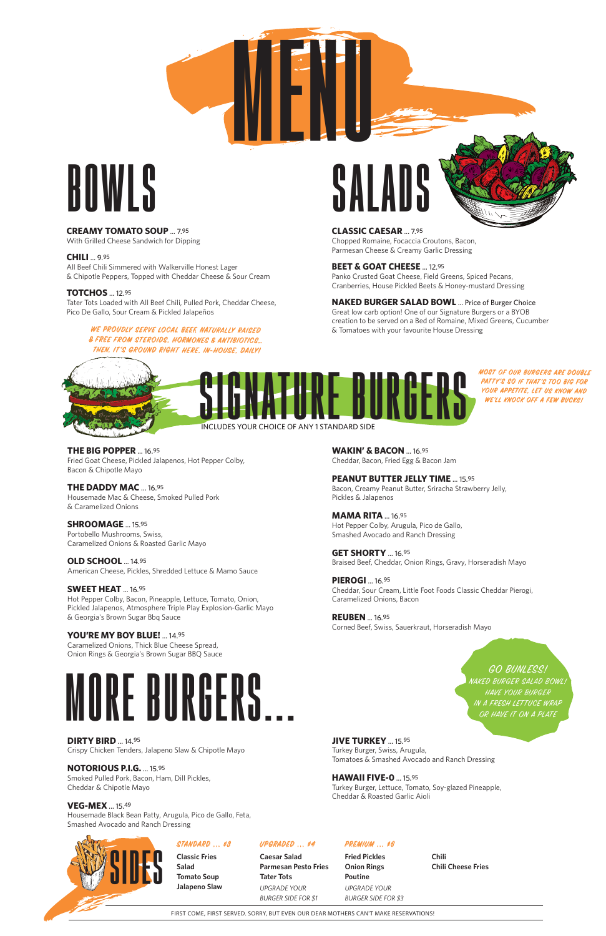## **BOWLS**

**CREAMY TOMATO SOUP** ... 7.95

With Grilled Cheese Sandwich for Dipping

**CHILI** ... 9.95

All Beef Chili Simmered with Walkerville Honest Lager & Chipotle Peppers, Topped with Cheddar Cheese & Sour Cream

### **TOTCHOS** ... 12.95

Tater Tots Loaded with All Beef Chili, Pulled Pork, Cheddar Cheese, Pico De Gallo, Sour Cream & Pickled Jalapeños

**THE BIG POPPER** ... 16.95 Fried Goat Cheese, Pickled Jalapenos, Hot Pepper Colby, Bacon & Chipotle Mayo

**THE DADDY MAC** ... 16.95 Housemade Mac & Cheese, Smoked Pulled Pork & Caramelized Onions

**SHROOMAGE** ... 15.95 Portobello Mushrooms, Swiss, Caramelized Onions & Roasted Garlic Mayo

**OLD SCHOOL** ... 14.95

American Cheese, Pickles, Shredded Lettuce & Mamo Sauce

### **SWEET HEAT** ... 16.95

Hot Pepper Colby, Bacon, Pineapple, Lettuce, Tomato, Onion, Pickled Jalapenos, Atmosphere Triple Play Explosion-Garlic Mayo & Georgia's Brown Sugar Bbq Sauce

### **YOU'RE MY BOY BLUE!** ... 14.95

Caramelized Onions, Thick Blue Cheese Spread, Onion Rings & Georgia's Brown Sugar BBQ Sauce



**DIRTY BIRD** ... 14.95 Crispy Chicken Tenders, Jalapeno Slaw & Chipotle Mayo MOST OF OUR BURGERS ARE DOUBLE PATTY'S SO IF THAT'S TOO BIG FOR YOUR APPETITE, LET US KNOW AND WE'LL KNOCK OFF A FEW BUCKS!

**NOTORIOUS P.I.G.** ... 15.95 Smoked Pulled Pork, Bacon, Ham, Dill Pickles, Cheddar & Chipotle Mayo

### **VEG-MEX** ... 15.49

Housemade Black Bean Patty, Arugula, Pico de Gallo, Feta, Smashed Avocado and Ranch Dressing

# **MENU SALADS**

**JIVE TURKEY** ... 15.95

Turkey Burger, Swiss, Arugula, Tomatoes & Smashed Avocado and Ranch Dressing

**HAWAII FIVE-0** ... 15.95 Turkey Burger, Lettuce, Tomato, Soy-glazed Pineapple, Cheddar & Roasted Garlic Aioli

HAVE YOUR BURGER IN A FRESH LETTUCE WRAP OR HAVE IT ON A PLATE

**WAKIN' & BACON** ... 16.95 Cheddar, Bacon, Fried Egg & Bacon Jam

### **PEANUT BUTTER JELLY TIME** ... 15.95

Bacon, Creamy Peanut Butter, Sriracha Strawberry Jelly, Pickles & Jalapenos

**MAMA RITA** ... 16.95 Hot Pepper Colby, Arugula, Pico de Gallo, Smashed Avocado and Ranch Dressing

**GET SHORTY** ... 16.95 Braised Beef, Cheddar, Onion Rings, Gravy, Horseradish Mayo

**PIEROGI** ... 16.95 Cheddar, Sour Cream, Little Foot Foods Classic Cheddar Pierogi, Caramelized Onions, Bacon

**REUBEN** ... 16.95 Corned Beef, Swiss, Sauerkraut, Horseradish Mayo

**SIGNATURE BURGERS**

### **MORE BURGERS...**

INCLUDES YOUR CHOICE OF ANY 1 STANDARD SIDE

WE PROUDLY SERVE LOCAL BEEF, NATURALLY RAISED & FREE FROM STEROIDS, HORMONES & AN TIBIOTICS… THEN, IT'S GROUND RIGHT HERE, IN-HOUSE, DAILY! **CLASSIC CAESAR** ... 7.95 Chopped Romaine, Focaccia Croutons, Bacon, Parmesan Cheese & Creamy Garlic Dressing

**BEET & GOAT CHEESE** ... 12.95 Panko Crusted Goat Cheese, Field Greens, Spiced Pecans, Cranberries, House Pickled Beets & Honey-mustard Dressing



**NAKED BURGER SALAD BOWL** ... Price of Burger Choice Great low carb option! One of our Signature Burgers or a BYOB creation to be served on a Bed of Romaine, Mixed Greens, Cucumber & Tomatoes with your favourite House Dressing



GO BUNLESS! NAKED BURGER SALAD BOWL!

FIRST COME, FIRST SERVED. SORRY, BUT EVEN OUR DEAR MOTHERS CAN'T MAKE RESERVATIONS!